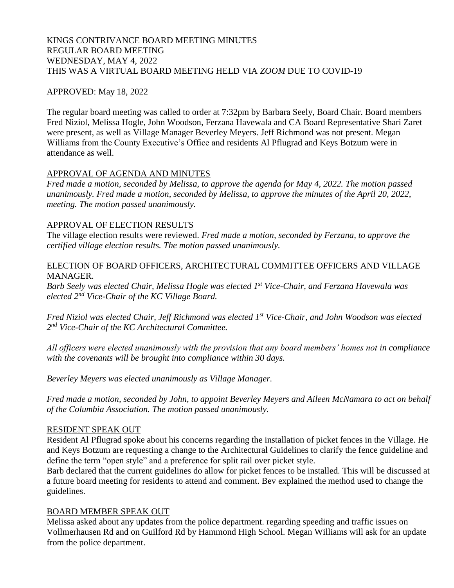# KINGS CONTRIVANCE BOARD MEETING MINUTES REGULAR BOARD MEETING WEDNESDAY, MAY 4, 2022 THIS WAS A VIRTUAL BOARD MEETING HELD VIA *ZOOM* DUE TO COVID-19

# APPROVED: May 18, 2022

The regular board meeting was called to order at 7:32pm by Barbara Seely, Board Chair. Board members Fred Niziol, Melissa Hogle, John Woodson, Ferzana Havewala and CA Board Representative Shari Zaret were present, as well as Village Manager Beverley Meyers. Jeff Richmond was not present. Megan Williams from the County Executive's Office and residents Al Pflugrad and Keys Botzum were in attendance as well.

# APPROVAL OF AGENDA AND MINUTES

*Fred made a motion, seconded by Melissa, to approve the agenda for May 4, 2022. The motion passed unanimously. Fred made a motion, seconded by Melissa, to approve the minutes of the April 20, 2022, meeting. The motion passed unanimously.*

# APPROVAL OF ELECTION RESULTS

The village election results were reviewed. *Fred made a motion, seconded by Ferzana, to approve the certified village election results. The motion passed unanimously.* 

#### ELECTION OF BOARD OFFICERS, ARCHITECTURAL COMMITTEE OFFICERS AND VILLAGE MANAGER.

*Barb Seely was elected Chair, Melissa Hogle was elected 1st Vice-Chair, and Ferzana Havewala was elected 2 nd Vice-Chair of the KC Village Board.*

*Fred Niziol was elected Chair, Jeff Richmond was elected 1st Vice-Chair, and John Woodson was elected 2 nd Vice-Chair of the KC Architectural Committee.*

*All officers were elected unanimously with the provision that any board members' homes not in compliance with the covenants will be brought into compliance within 30 days.*

*Beverley Meyers was elected unanimously as Village Manager.*

*Fred made a motion, seconded by John, to appoint Beverley Meyers and Aileen McNamara to act on behalf of the Columbia Association. The motion passed unanimously.*

### RESIDENT SPEAK OUT

Resident Al Pflugrad spoke about his concerns regarding the installation of picket fences in the Village. He and Keys Botzum are requesting a change to the Architectural Guidelines to clarify the fence guideline and define the term "open style" and a preference for split rail over picket style.

Barb declared that the current guidelines do allow for picket fences to be installed. This will be discussed at a future board meeting for residents to attend and comment. Bev explained the method used to change the guidelines.

### BOARD MEMBER SPEAK OUT

Melissa asked about any updates from the police department. regarding speeding and traffic issues on Vollmerhausen Rd and on Guilford Rd by Hammond High School. Megan Williams will ask for an update from the police department.